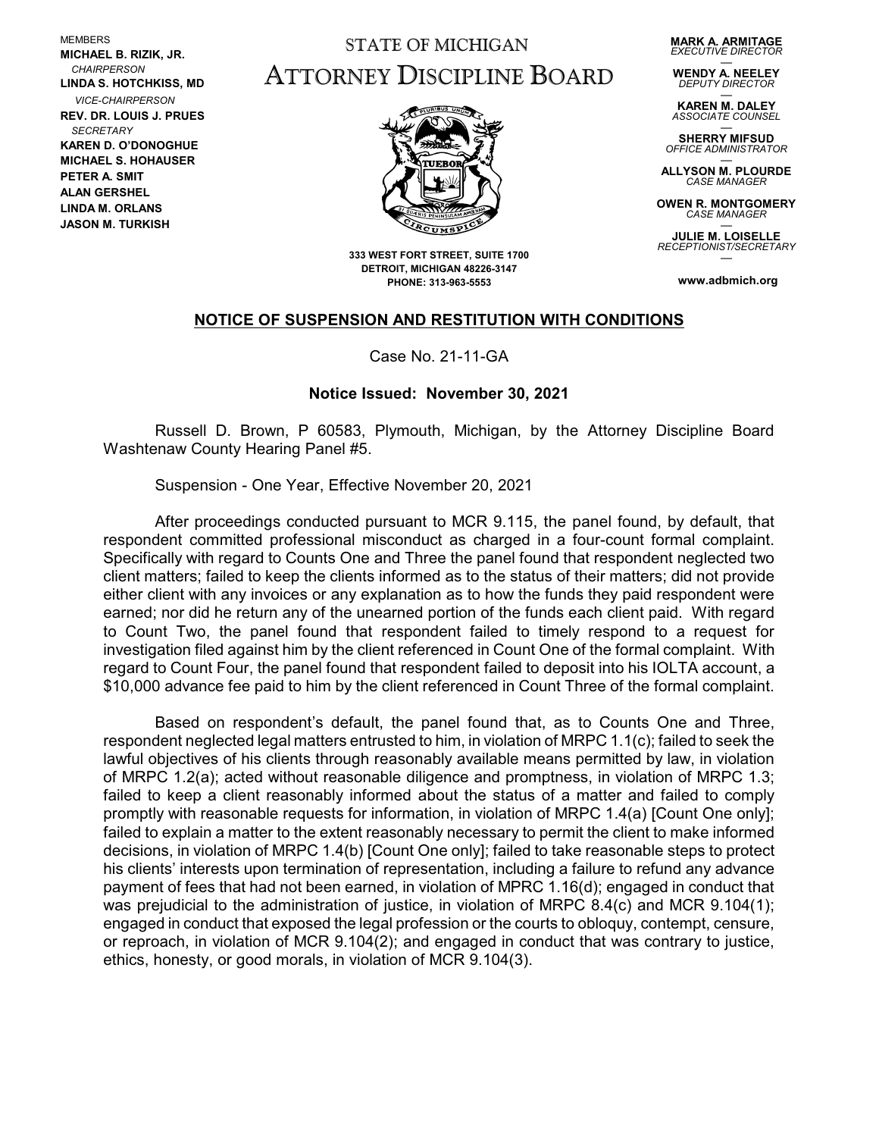MEMBERS **MICHAEL B. RIZIK, JR.**  *CHAIRPERSON* **LINDA S. HOTCHKISS, MD** *VICE-CHAIRPERSON* **REV. DR. LOUIS J. PRUES**  *SECRETARY* **KAREN D. O'DONOGHUE MICHAEL S. HOHAUSER PETER A. SMIT ALAN GERSHEL LINDA M. ORLANS JASON M. TURKISH**

## STATE OF MICHIGAN ATTORNEY DISCIPLINE BOARD

**MARK A. ARMITAGE** *EXECUTIVE DIRECTOR*

— **WENDY A. NEELEY** *DEPUTY DIRECTOR*

— **KAREN M. DALEY** *ASSOCIATE COUNSEL*

— **SHERRY MIFSUD** *OFFICE ADMINISTRATOR*

— **ALLYSON M. PLOURDE** *CASE MANAGER*

**OWEN R. MONTGOMERY** *CASE MANAGER* —

**JULIE M. LOISELLE** *RECEPTIONIST/SECRETARY* —

**www.adbmich.org**



**333 WEST FORT STREET, SUITE 1700 DETROIT, MICHIGAN 48226-3147 PHONE: 313-963-5553**

## **NOTICE OF SUSPENSION AND RESTITUTION WITH CONDITIONS**

Case No. 21-11-GA

## **Notice Issued: November 30, 2021**

Russell D. Brown, P 60583, Plymouth, Michigan, by the Attorney Discipline Board Washtenaw County Hearing Panel #5.

Suspension - One Year, Effective November 20, 2021

After proceedings conducted pursuant to MCR 9.115, the panel found, by default, that respondent committed professional misconduct as charged in a four-count formal complaint. Specifically with regard to Counts One and Three the panel found that respondent neglected two client matters; failed to keep the clients informed as to the status of their matters; did not provide either client with any invoices or any explanation as to how the funds they paid respondent were earned; nor did he return any of the unearned portion of the funds each client paid. With regard to Count Two, the panel found that respondent failed to timely respond to a request for investigation filed against him by the client referenced in Count One of the formal complaint. With regard to Count Four, the panel found that respondent failed to deposit into his IOLTA account, a \$10,000 advance fee paid to him by the client referenced in Count Three of the formal complaint.

Based on respondent's default, the panel found that, as to Counts One and Three, respondent neglected legal matters entrusted to him, in violation of MRPC 1.1(c); failed to seek the lawful objectives of his clients through reasonably available means permitted by law, in violation of MRPC 1.2(a); acted without reasonable diligence and promptness, in violation of MRPC 1.3; failed to keep a client reasonably informed about the status of a matter and failed to comply promptly with reasonable requests for information, in violation of MRPC 1.4(a) [Count One only]; failed to explain a matter to the extent reasonably necessary to permit the client to make informed decisions, in violation of MRPC 1.4(b) [Count One only]; failed to take reasonable steps to protect his clients' interests upon termination of representation, including a failure to refund any advance payment of fees that had not been earned, in violation of MPRC 1.16(d); engaged in conduct that was prejudicial to the administration of justice, in violation of MRPC 8.4(c) and MCR 9.104(1); engaged in conduct that exposed the legal profession or the courts to obloquy, contempt, censure, or reproach, in violation of MCR 9.104(2); and engaged in conduct that was contrary to justice, ethics, honesty, or good morals, in violation of MCR 9.104(3).